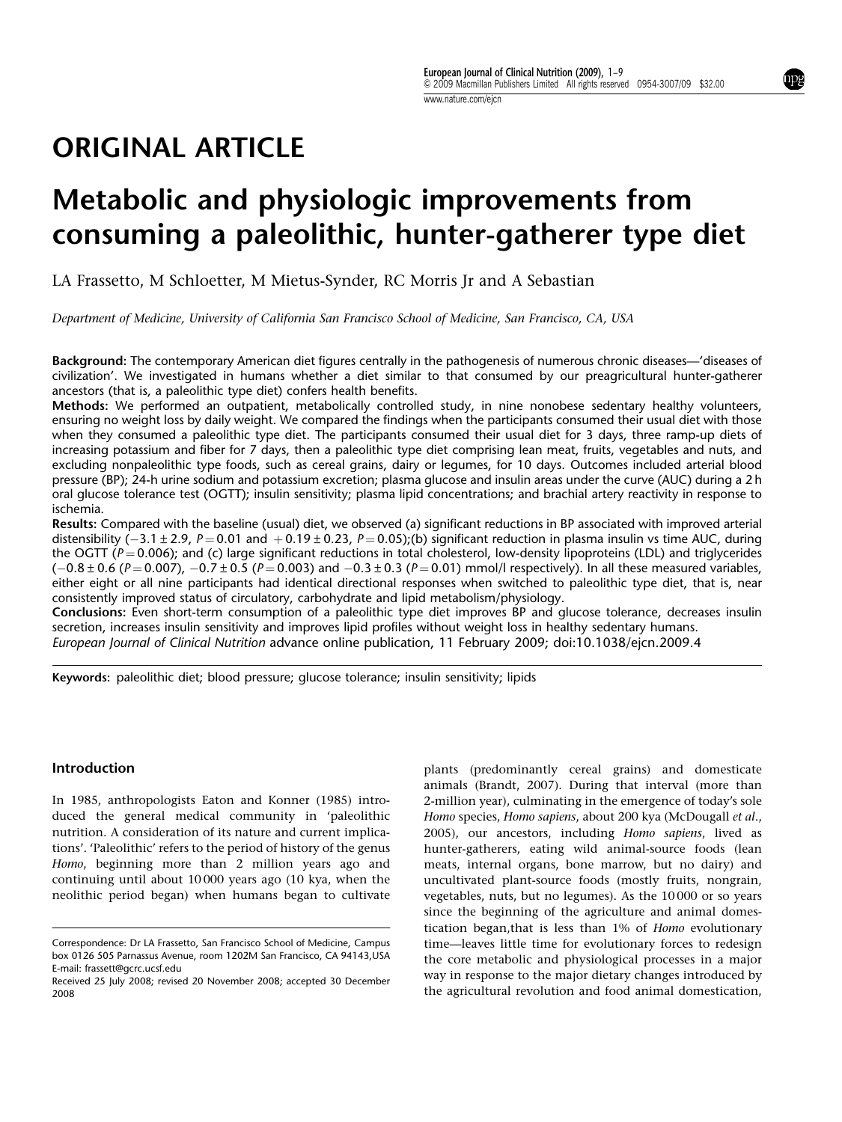## ORIGINAL ARTICLE

# Metabolic and physiologic improvements from consuming a paleolithic, hunter-gatherer type diet

LA Frassetto, M Schloetter, M Mietus-Synder, RC Morris Jr and A Sebastian

Department of Medicine, University of California San Francisco School of Medicine, San Francisco, CA, USA

Background: The contemporary American diet figures centrally in the pathogenesis of numerous chronic diseases—'diseases of civilization'. We investigated in humans whether a diet similar to that consumed by our preagricultural hunter-gatherer ancestors (that is, a paleolithic type diet) confers health benefits.

Methods: We performed an outpatient, metabolically controlled study, in nine nonobese sedentary healthy volunteers, ensuring no weight loss by daily weight. We compared the findings when the participants consumed their usual diet with those when they consumed a paleolithic type diet. The participants consumed their usual diet for 3 days, three ramp-up diets of increasing potassium and fiber for 7 days, then a paleolithic type diet comprising lean meat, fruits, vegetables and nuts, and excluding nonpaleolithic type foods, such as cereal grains, dairy or legumes, for 10 days. Outcomes included arterial blood pressure (BP); 24-h urine sodium and potassium excretion; plasma glucose and insulin areas under the curve (AUC) during a 2 h oral glucose tolerance test (OGTT); insulin sensitivity; plasma lipid concentrations; and brachial artery reactivity in response to ischemia.

Results: Compared with the baseline (usual) diet, we observed (a) significant reductions in BP associated with improved arterial distensibility ( $-3.1 \pm 2.9$ ,  $P = 0.01$  and  $+0.19 \pm 0.23$ ,  $P = 0.05$ );(b) significant reduction in plasma insulin vs time AUC, during the OGTT ( $P = 0.006$ ); and (c) large significant reductions in total cholesterol, low-density lipoproteins (LDL) and triglycerides  $(-0.8 \pm 0.6$  (P = 0.007),  $-0.7 \pm 0.5$  (P = 0.003) and  $-0.3 \pm 0.3$  (P = 0.01) mmol/l respectively). In all these measured variables, either eight or all nine participants had identical directional responses when switched to paleolithic type diet, that is, near consistently improved status of circulatory, carbohydrate and lipid metabolism/physiology.

Conclusions: Even short-term consumption of a paleolithic type diet improves BP and glucose tolerance, decreases insulin secretion, increases insulin sensitivity and improves lipid profiles without weight loss in healthy sedentary humans. European Journal of Clinical Nutrition advance online publication, 11 February 2009; doi:10.1038/ejcn.2009.4

Keywords: paleolithic diet; blood pressure; glucose tolerance; insulin sensitivity; lipids

#### Introduction

In 1985, anthropologists Eaton and Konner (1985) introduced the general medical community in 'paleolithic nutrition. A consideration of its nature and current implications'. 'Paleolithic' refers to the period of history of the genus Homo, beginning more than 2 million years ago and continuing until about 10 000 years ago (10 kya, when the neolithic period began) when humans began to cultivate

plants (predominantly cereal grains) and domesticate animals (Brandt, 2007). During that interval (more than 2-million year), culminating in the emergence of today's sole Homo species, Homo sapiens, about 200 kya (McDougall et al., 2005), our ancestors, including Homo sapiens, lived as hunter-gatherers, eating wild animal-source foods (lean meats, internal organs, bone marrow, but no dairy) and uncultivated plant-source foods (mostly fruits, nongrain, vegetables, nuts, but no legumes). As the 10 000 or so years since the beginning of the agriculture and animal domestication began,that is less than 1% of Homo evolutionary time—leaves little time for evolutionary forces to redesign the core metabolic and physiological processes in a major way in response to the major dietary changes introduced by the agricultural revolution and food animal domestication,

Correspondence: Dr LA Frassetto, San Francisco School of Medicine, Campus box 0126 505 Parnassus Avenue, room 1202M San Francisco, CA 94143,USA E-mail: frassett@gcrc.ucsf.edu

Received 25 July 2008; revised 20 November 2008; accepted 30 December 2008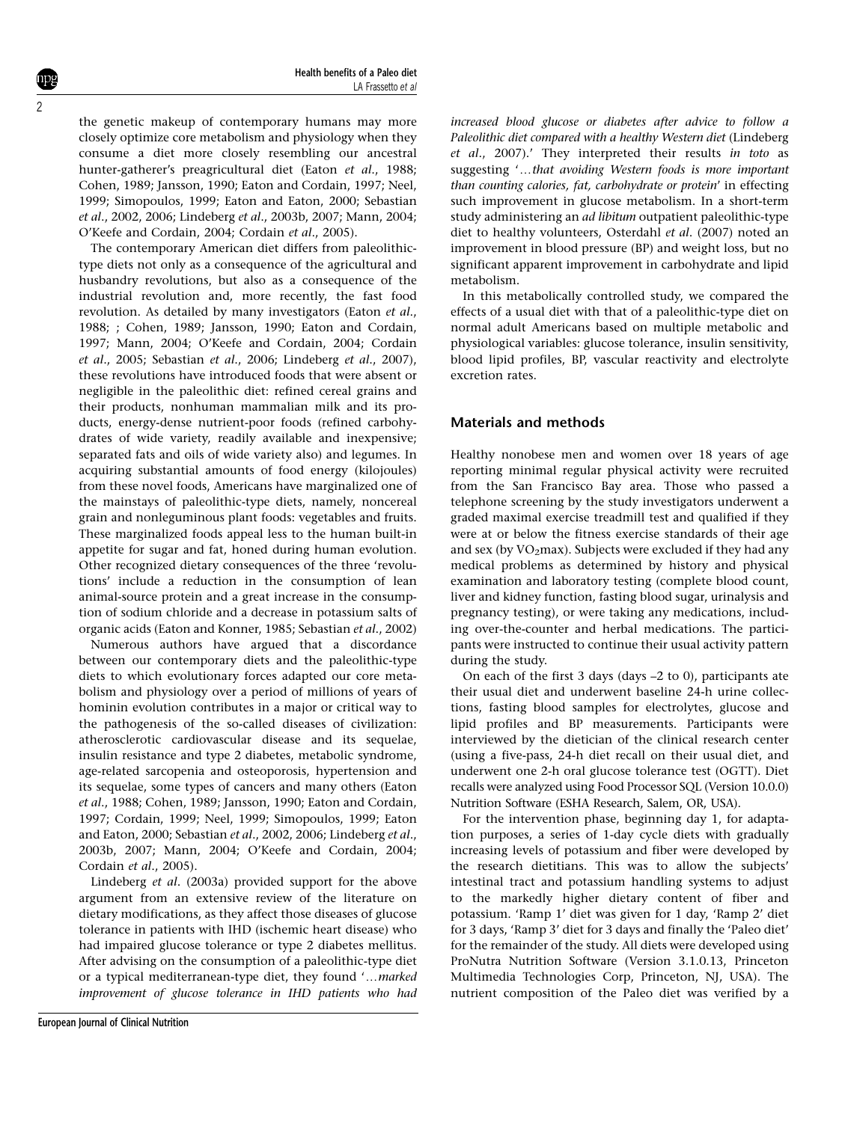the genetic makeup of contemporary humans may more closely optimize core metabolism and physiology when they consume a diet more closely resembling our ancestral hunter-gatherer's preagricultural diet (Eaton et al., 1988; Cohen, 1989; Jansson, 1990; Eaton and Cordain, 1997; Neel, 1999; Simopoulos, 1999; Eaton and Eaton, 2000; Sebastian et al., 2002, 2006; Lindeberg et al., 2003b, 2007; Mann, 2004; O'Keefe and Cordain, 2004; Cordain et al., 2005).

The contemporary American diet differs from paleolithictype diets not only as a consequence of the agricultural and husbandry revolutions, but also as a consequence of the industrial revolution and, more recently, the fast food revolution. As detailed by many investigators (Eaton et al., 1988; ; Cohen, 1989; Jansson, 1990; Eaton and Cordain, 1997; Mann, 2004; O'Keefe and Cordain, 2004; Cordain et al., 2005; Sebastian et al., 2006; Lindeberg et al., 2007), these revolutions have introduced foods that were absent or negligible in the paleolithic diet: refined cereal grains and their products, nonhuman mammalian milk and its products, energy-dense nutrient-poor foods (refined carbohydrates of wide variety, readily available and inexpensive; separated fats and oils of wide variety also) and legumes. In acquiring substantial amounts of food energy (kilojoules) from these novel foods, Americans have marginalized one of the mainstays of paleolithic-type diets, namely, noncereal grain and nonleguminous plant foods: vegetables and fruits. These marginalized foods appeal less to the human built-in appetite for sugar and fat, honed during human evolution. Other recognized dietary consequences of the three 'revolutions' include a reduction in the consumption of lean animal-source protein and a great increase in the consumption of sodium chloride and a decrease in potassium salts of organic acids (Eaton and Konner, 1985; Sebastian et al., 2002)

Numerous authors have argued that a discordance between our contemporary diets and the paleolithic-type diets to which evolutionary forces adapted our core metabolism and physiology over a period of millions of years of hominin evolution contributes in a major or critical way to the pathogenesis of the so-called diseases of civilization: atherosclerotic cardiovascular disease and its sequelae, insulin resistance and type 2 diabetes, metabolic syndrome, age-related sarcopenia and osteoporosis, hypertension and its sequelae, some types of cancers and many others (Eaton et al., 1988; Cohen, 1989; Jansson, 1990; Eaton and Cordain, 1997; Cordain, 1999; Neel, 1999; Simopoulos, 1999; Eaton and Eaton, 2000; Sebastian et al., 2002, 2006; Lindeberg et al., 2003b, 2007; Mann, 2004; O'Keefe and Cordain, 2004; Cordain et al., 2005).

Lindeberg et al. (2003a) provided support for the above argument from an extensive review of the literature on dietary modifications, as they affect those diseases of glucose tolerance in patients with IHD (ischemic heart disease) who had impaired glucose tolerance or type 2 diabetes mellitus. After advising on the consumption of a paleolithic-type diet or a typical mediterranean-type diet, they found '...marked improvement of glucose tolerance in IHD patients who had increased blood glucose or diabetes after advice to follow a Paleolithic diet compared with a healthy Western diet (Lindeberg et al., 2007).' They interpreted their results in toto as suggesting '...that avoiding Western foods is more important than counting calories, fat, carbohydrate or protein' in effecting such improvement in glucose metabolism. In a short-term study administering an ad libitum outpatient paleolithic-type diet to healthy volunteers, Osterdahl et al. (2007) noted an improvement in blood pressure (BP) and weight loss, but no significant apparent improvement in carbohydrate and lipid metabolism.

In this metabolically controlled study, we compared the effects of a usual diet with that of a paleolithic-type diet on normal adult Americans based on multiple metabolic and physiological variables: glucose tolerance, insulin sensitivity, blood lipid profiles, BP, vascular reactivity and electrolyte excretion rates.

## Materials and methods

Healthy nonobese men and women over 18 years of age reporting minimal regular physical activity were recruited from the San Francisco Bay area. Those who passed a telephone screening by the study investigators underwent a graded maximal exercise treadmill test and qualified if they were at or below the fitness exercise standards of their age and sex (by  $VO<sub>2</sub>max$ ). Subjects were excluded if they had any medical problems as determined by history and physical examination and laboratory testing (complete blood count, liver and kidney function, fasting blood sugar, urinalysis and pregnancy testing), or were taking any medications, including over-the-counter and herbal medications. The participants were instructed to continue their usual activity pattern during the study.

On each of the first 3 days (days –2 to 0), participants ate their usual diet and underwent baseline 24-h urine collections, fasting blood samples for electrolytes, glucose and lipid profiles and BP measurements. Participants were interviewed by the dietician of the clinical research center (using a five-pass, 24-h diet recall on their usual diet, and underwent one 2-h oral glucose tolerance test (OGTT). Diet recalls were analyzed using Food Processor SQL (Version 10.0.0) Nutrition Software (ESHA Research, Salem, OR, USA).

For the intervention phase, beginning day 1, for adaptation purposes, a series of 1-day cycle diets with gradually increasing levels of potassium and fiber were developed by the research dietitians. This was to allow the subjects' intestinal tract and potassium handling systems to adjust to the markedly higher dietary content of fiber and potassium. 'Ramp 1' diet was given for 1 day, 'Ramp 2' diet for 3 days, 'Ramp 3' diet for 3 days and finally the 'Paleo diet' for the remainder of the study. All diets were developed using ProNutra Nutrition Software (Version 3.1.0.13, Princeton Multimedia Technologies Corp, Princeton, NJ, USA). The nutrient composition of the Paleo diet was verified by a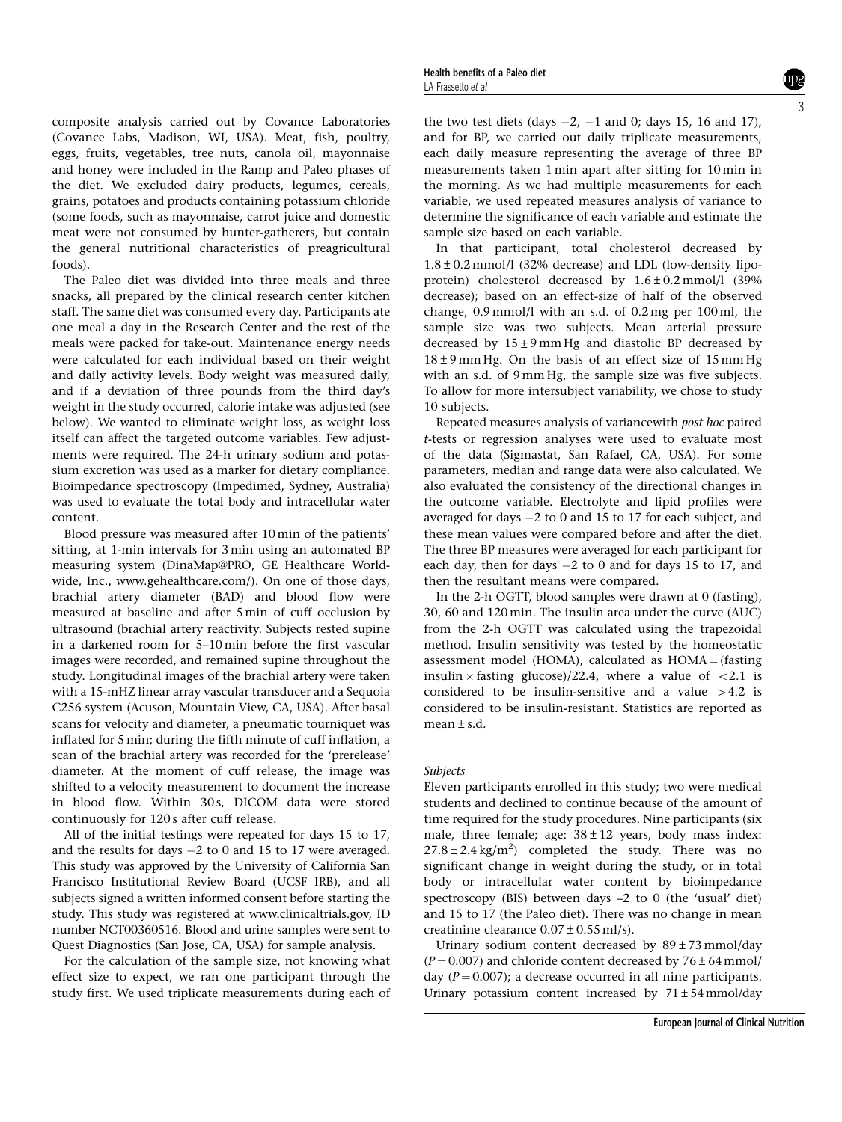composite analysis carried out by Covance Laboratories (Covance Labs, Madison, WI, USA). Meat, fish, poultry, eggs, fruits, vegetables, tree nuts, canola oil, mayonnaise and honey were included in the Ramp and Paleo phases of the diet. We excluded dairy products, legumes, cereals, grains, potatoes and products containing potassium chloride (some foods, such as mayonnaise, carrot juice and domestic meat were not consumed by hunter-gatherers, but contain the general nutritional characteristics of preagricultural foods).

The Paleo diet was divided into three meals and three snacks, all prepared by the clinical research center kitchen staff. The same diet was consumed every day. Participants ate one meal a day in the Research Center and the rest of the meals were packed for take-out. Maintenance energy needs were calculated for each individual based on their weight and daily activity levels. Body weight was measured daily, and if a deviation of three pounds from the third day's weight in the study occurred, calorie intake was adjusted (see below). We wanted to eliminate weight loss, as weight loss itself can affect the targeted outcome variables. Few adjustments were required. The 24-h urinary sodium and potassium excretion was used as a marker for dietary compliance. Bioimpedance spectroscopy (Impedimed, Sydney, Australia) was used to evaluate the total body and intracellular water content.

Blood pressure was measured after 10 min of the patients' sitting, at 1-min intervals for 3 min using an automated BP measuring system (DinaMap@PRO, GE Healthcare Worldwide, Inc., www.gehealthcare.com/). On one of those days, brachial artery diameter (BAD) and blood flow were measured at baseline and after 5 min of cuff occlusion by ultrasound (brachial artery reactivity. Subjects rested supine in a darkened room for 5–10 min before the first vascular images were recorded, and remained supine throughout the study. Longitudinal images of the brachial artery were taken with a 15-mHZ linear array vascular transducer and a Sequoia C256 system (Acuson, Mountain View, CA, USA). After basal scans for velocity and diameter, a pneumatic tourniquet was inflated for 5 min; during the fifth minute of cuff inflation, a scan of the brachial artery was recorded for the 'prerelease' diameter. At the moment of cuff release, the image was shifted to a velocity measurement to document the increase in blood flow. Within 30s, DICOM data were stored continuously for 120 s after cuff release.

All of the initial testings were repeated for days 15 to 17, and the results for days  $-2$  to 0 and 15 to 17 were averaged. This study was approved by the University of California San Francisco Institutional Review Board (UCSF IRB), and all subjects signed a written informed consent before starting the study. This study was registered at www.clinicaltrials.gov, ID number NCT00360516. Blood and urine samples were sent to Quest Diagnostics (San Jose, CA, USA) for sample analysis.

For the calculation of the sample size, not knowing what effect size to expect, we ran one participant through the study first. We used triplicate measurements during each of the two test diets (days  $-2$ ,  $-1$  and 0; days 15, 16 and 17), and for BP, we carried out daily triplicate measurements, each daily measure representing the average of three BP measurements taken 1 min apart after sitting for 10 min in the morning. As we had multiple measurements for each variable, we used repeated measures analysis of variance to determine the significance of each variable and estimate the sample size based on each variable.

In that participant, total cholesterol decreased by  $1.8 \pm 0.2$  mmol/l (32% decrease) and LDL (low-density lipoprotein) cholesterol decreased by 1.6±0.2 mmol/l (39% decrease); based on an effect-size of half of the observed change, 0.9 mmol/l with an s.d. of 0.2 mg per 100 ml, the sample size was two subjects. Mean arterial pressure decreased by  $15±9$  mm Hg and diastolic BP decreased by  $18±9$  mm Hg. On the basis of an effect size of 15 mm Hg with an s.d. of 9 mm Hg, the sample size was five subjects. To allow for more intersubject variability, we chose to study 10 subjects.

Repeated measures analysis of variancewith post hoc paired t-tests or regression analyses were used to evaluate most of the data (Sigmastat, San Rafael, CA, USA). For some parameters, median and range data were also calculated. We also evaluated the consistency of the directional changes in the outcome variable. Electrolyte and lipid profiles were averaged for days  $-2$  to 0 and 15 to 17 for each subject, and these mean values were compared before and after the diet. The three BP measures were averaged for each participant for each day, then for days  $-2$  to 0 and for days 15 to 17, and then the resultant means were compared.

In the 2-h OGTT, blood samples were drawn at 0 (fasting), 30, 60 and 120 min. The insulin area under the curve (AUC) from the 2-h OGTT was calculated using the trapezoidal method. Insulin sensitivity was tested by the homeostatic assessment model (HOMA), calculated as  $HOMA = (fasting)$ insulin  $\times$  fasting glucose)/22.4, where a value of  $\lt$ 2.1 is considered to be insulin-sensitive and a value  $>4.2$  is considered to be insulin-resistant. Statistics are reported as mean  $\pm$  s.d.

#### Subjects

Eleven participants enrolled in this study; two were medical students and declined to continue because of the amount of time required for the study procedures. Nine participants (six male, three female; age:  $38 \pm 12$  years, body mass index:  $27.8 \pm 2.4$  kg/m<sup>2</sup>) completed the study. There was no significant change in weight during the study, or in total body or intracellular water content by bioimpedance spectroscopy (BIS) between days –2 to 0 (the 'usual' diet) and 15 to 17 (the Paleo diet). There was no change in mean creatinine clearance  $0.07 \pm 0.55$  ml/s).

Urinary sodium content decreased by  $89 \pm 73$  mmol/day  $(P = 0.007)$  and chloride content decreased by  $76 \pm 64$  mmol/ day  $(P = 0.007)$ ; a decrease occurred in all nine participants. Urinary potassium content increased by  $71 \pm 54$  mmol/day

3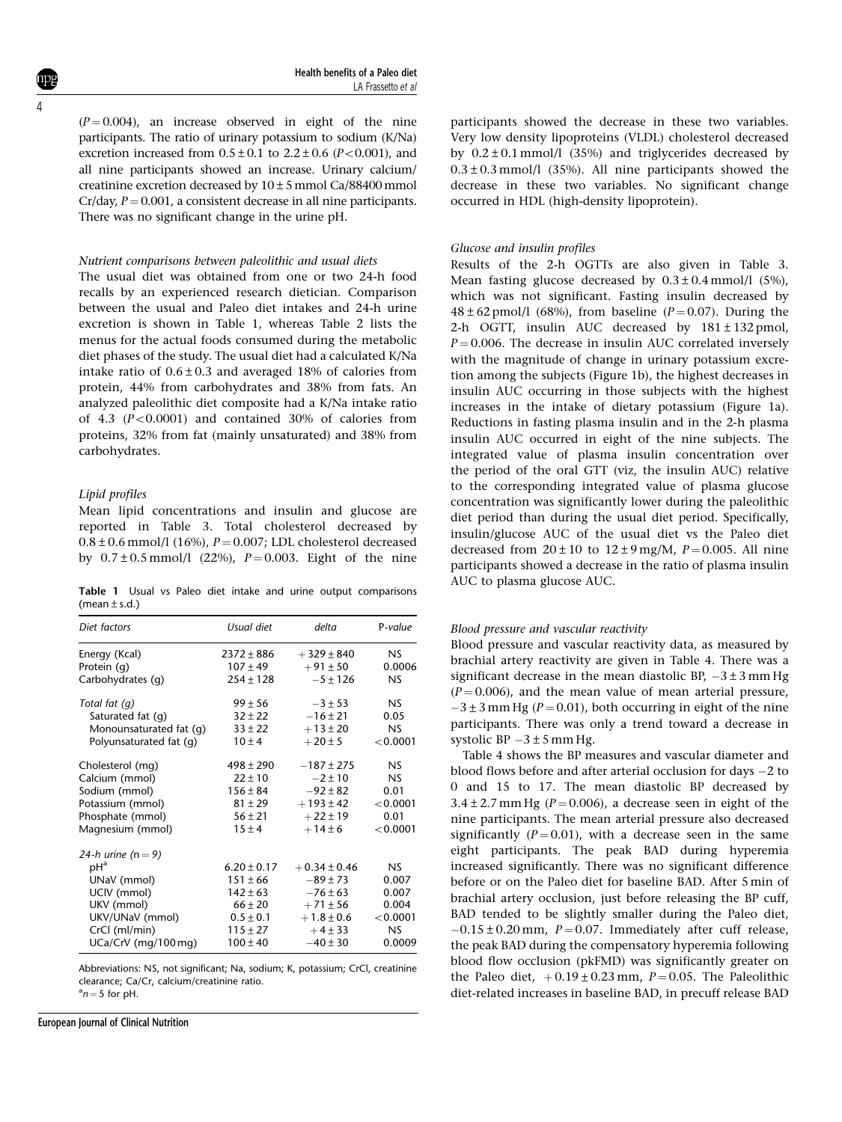4

 $(P= 0.004)$ , an increase observed in eight of the nine participants. The ratio of urinary potassium to sodium (K/Na) excretion increased from  $0.5 \pm 0.1$  to  $2.2 \pm 0.6$  ( $P < 0.001$ ), and all nine participants showed an increase. Urinary calcium/ creatinine excretion decreased by 10±5mmol Ca/88400mmol  $Cr/day, P = 0.001$ , a consistent decrease in all nine participants. There was no significant change in the urine pH.

#### Nutrient comparisons between paleolithic and usual diets

The usual diet was obtained from one or two 24-h food recalls by an experienced research dietician. Comparison between the usual and Paleo diet intakes and 24-h urine excretion is shown in Table 1, whereas Table 2 lists the menus for the actual foods consumed during the metabolic diet phases of the study. The usual diet had a calculated K/Na intake ratio of  $0.6 \pm 0.3$  and averaged 18% of calories from protein, 44% from carbohydrates and 38% from fats. An analyzed paleolithic diet composite had a K/Na intake ratio of 4.3  $(P<0.0001)$  and contained 30% of calories from proteins, 32% from fat (mainly unsaturated) and 38% from carbohydrates.

#### Lipid profiles

Mean lipid concentrations and insulin and glucose are reported in Table 3. Total cholesterol decreased by  $0.8 \pm 0.6$  mmol/l (16%),  $P = 0.007$ ; LDL cholesterol decreased by  $0.7 \pm 0.5$  mmol/l (22%),  $P = 0.003$ . Eight of the nine

Table 1 Usual vs Paleo diet intake and urine output comparisons  $(mean + s.d.)$ 

| Diet factors            | Usual diet      | delta            | P-value   |
|-------------------------|-----------------|------------------|-----------|
| Energy (Kcal)           | $2372 \pm 886$  | $+329 \pm 840$   | <b>NS</b> |
| Protein (q)             | $107 \pm 49$    | $+91 \pm 50$     | 0.0006    |
| Carbohydrates (q)       | $254 \pm 128$   | $-5 \pm 126$     | <b>NS</b> |
| Total fat (q)           | $99 \pm 56$     | $-3 \pm 53$      | NS.       |
| Saturated fat (q)       | $32 \pm 22$     | $-16 \pm 21$     | 0.05      |
| Monounsaturated fat (q) | $33 \pm 22$     | $+13 \pm 20$     | <b>NS</b> |
| Polyunsaturated fat (q) | $10 \pm 4$      | $+20 \pm 5$      | < 0.0001  |
| Cholesterol (mg)        | $498 \pm 290$   | $-187 \pm 275$   | <b>NS</b> |
| Calcium (mmol)          | $22 \pm 10$     | $-2 \pm 10$      | <b>NS</b> |
| Sodium (mmol)           | $156 \pm 84$    | $-92 \pm 82$     | 0.01      |
| Potassium (mmol)        | $81 \pm 29$     | $+193 \pm 42$    | < 0.0001  |
| Phosphate (mmol)        | $56 \pm 21$     | $+22 \pm 19$     | 0.01      |
| Magnesium (mmol)        | $15 \pm 4$      | $+14 \pm 6$      | < 0.0001  |
| 24-h urine ( $n = 9$ )  |                 |                  |           |
| pH <sup>a</sup>         | $6.20 \pm 0.17$ | $+0.34 \pm 0.46$ | NS.       |
| UNaV (mmol)             | $151 \pm 66$    | $-89 \pm 73$     | 0.007     |
| UCIV (mmol)             | $142 \pm 63$    | $-76 \pm 63$     | 0.007     |
| UKV (mmol)              | $66 \pm 20$     | $+71 \pm 56$     | 0.004     |
| UKV/UNaV (mmol)         | $0.5 \pm 0.1$   | $+1.8 \pm 0.6$   | < 0.0001  |
| CrCl (ml/min)           | $115 \pm 27$    | $+4 \pm 33$      | <b>NS</b> |
| UCa/CrV (mg/100 mg)     | $100 \pm 40$    | $-40 \pm 30$     | 0.0009    |

Abbreviations: NS, not significant; Na, sodium; K, potassium; CrCl, creatinine clearance; Ca/Cr, calcium/creatinine ratio.

 $a_n = 5$  for pH.

European Journal of Clinical Nutrition

participants showed the decrease in these two variables. Very low density lipoproteins (VLDL) cholesterol decreased by  $0.2 \pm 0.1$  mmol/l (35%) and triglycerides decreased by  $0.3 \pm 0.3$  mmol/l (35%). All nine participants showed the decrease in these two variables. No significant change occurred in HDL (high-density lipoprotein).

#### Glucose and insulin profiles

Results of the 2-h OGTTs are also given in Table 3. Mean fasting glucose decreased by  $0.3 \pm 0.4$  mmol/l (5%), which was not significant. Fasting insulin decreased by  $48 \pm 62$  pmol/l (68%), from baseline (P = 0.07). During the 2-h OGTT, insulin AUC decreased by  $181 \pm 132$  pmol,  $P = 0.006$ . The decrease in insulin AUC correlated inversely with the magnitude of change in urinary potassium excretion among the subjects (Figure 1b), the highest decreases in insulin AUC occurring in those subjects with the highest increases in the intake of dietary potassium (Figure 1a). Reductions in fasting plasma insulin and in the 2-h plasma insulin AUC occurred in eight of the nine subjects. The integrated value of plasma insulin concentration over the period of the oral GTT (viz, the insulin AUC) relative to the corresponding integrated value of plasma glucose concentration was significantly lower during the paleolithic diet period than during the usual diet period. Specifically, insulin/glucose AUC of the usual diet vs the Paleo diet decreased from  $20 \pm 10$  to  $12 \pm 9$  mg/M,  $P = 0.005$ . All nine participants showed a decrease in the ratio of plasma insulin AUC to plasma glucose AUC.

#### Blood pressure and vascular reactivity

Blood pressure and vascular reactivity data, as measured by brachial artery reactivity are given in Table 4. There was a significant decrease in the mean diastolic BP,  $-3 \pm 3$  mm Hg  $(P = 0.006)$ , and the mean value of mean arterial pressure,  $-3 \pm 3$  mm Hg ( $P = 0.01$ ), both occurring in eight of the nine participants. There was only a trend toward a decrease in systolic  $BP -3 \pm 5$  mm Hg.

Table 4 shows the BP measures and vascular diameter and blood flows before and after arterial occlusion for days  $-2$  to 0 and 15 to 17. The mean diastolic BP decreased by  $3.4 \pm 2.7$  mm Hg ( $P = 0.006$ ), a decrease seen in eight of the nine participants. The mean arterial pressure also decreased significantly ( $P = 0.01$ ), with a decrease seen in the same eight participants. The peak BAD during hyperemia increased significantly. There was no significant difference before or on the Paleo diet for baseline BAD. After 5 min of brachial artery occlusion, just before releasing the BP cuff, BAD tended to be slightly smaller during the Paleo diet,  $-0.15 \pm 0.20$  mm,  $P = 0.07$ . Immediately after cuff release, the peak BAD during the compensatory hyperemia following blood flow occlusion (pkFMD) was significantly greater on the Paleo diet,  $+0.19 \pm 0.23$  mm,  $P = 0.05$ . The Paleolithic diet-related increases in baseline BAD, in precuff release BAD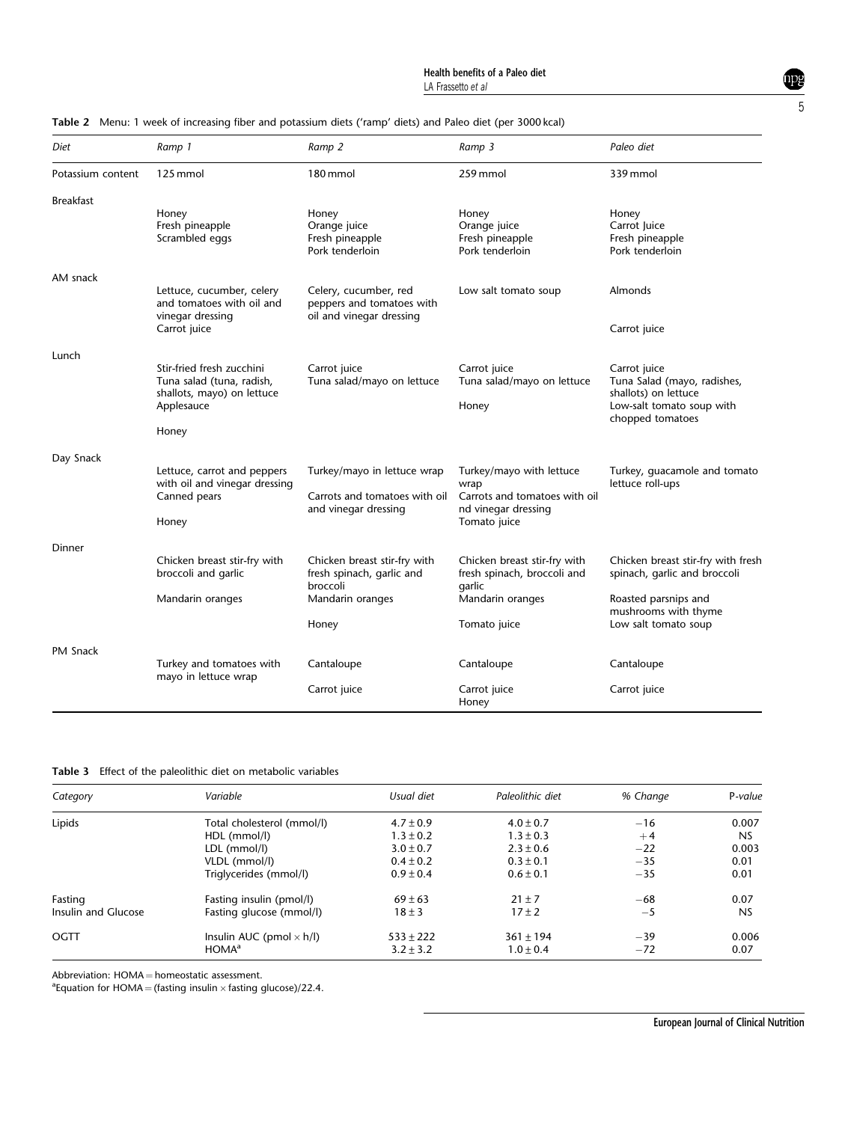| Diet              | Ramp 1                                                                                                      | Ramp 2                                                                               | Ramp 3                                                                                                   | Paleo diet                                                                                                           |
|-------------------|-------------------------------------------------------------------------------------------------------------|--------------------------------------------------------------------------------------|----------------------------------------------------------------------------------------------------------|----------------------------------------------------------------------------------------------------------------------|
| Potassium content | 125 mmol                                                                                                    | 180 mmol                                                                             | 259 mmol                                                                                                 | 339 mmol                                                                                                             |
| <b>Breakfast</b>  | Honey<br>Fresh pineapple<br>Scrambled eggs                                                                  | Honey<br>Orange juice<br>Fresh pineapple<br>Pork tenderloin                          | Honey<br>Orange juice<br>Fresh pineapple<br>Pork tenderloin                                              | Honey<br>Carrot Juice<br>Fresh pineapple<br>Pork tenderloin                                                          |
| AM snack          |                                                                                                             |                                                                                      |                                                                                                          |                                                                                                                      |
|                   | Lettuce, cucumber, celery<br>and tomatoes with oil and<br>vinegar dressing<br>Carrot juice                  | Celery, cucumber, red<br>peppers and tomatoes with<br>oil and vinegar dressing       | Low salt tomato soup                                                                                     | Almonds<br>Carrot juice                                                                                              |
|                   |                                                                                                             |                                                                                      |                                                                                                          |                                                                                                                      |
| Lunch             | Stir-fried fresh zucchini<br>Tuna salad (tuna, radish,<br>shallots, mayo) on lettuce<br>Applesauce<br>Honey | Carrot juice<br>Tuna salad/mayo on lettuce                                           | Carrot juice<br>Tuna salad/mayo on lettuce<br>Honey                                                      | Carrot juice<br>Tuna Salad (mayo, radishes,<br>shallots) on lettuce<br>Low-salt tomato soup with<br>chopped tomatoes |
| Day Snack         |                                                                                                             |                                                                                      |                                                                                                          |                                                                                                                      |
|                   | Lettuce, carrot and peppers<br>with oil and vinegar dressing<br>Canned pears<br>Honey                       | Turkey/mayo in lettuce wrap<br>Carrots and tomatoes with oil<br>and vinegar dressing | Turkey/mayo with lettuce<br>wrap<br>Carrots and tomatoes with oil<br>nd vinegar dressing<br>Tomato juice | Turkey, quacamole and tomato<br>lettuce roll-ups                                                                     |
| Dinner            |                                                                                                             |                                                                                      |                                                                                                          |                                                                                                                      |
|                   | Chicken breast stir-fry with<br>broccoli and garlic                                                         | Chicken breast stir-fry with<br>fresh spinach, garlic and<br>broccoli                | Chicken breast stir-fry with<br>fresh spinach, broccoli and                                              | Chicken breast stir-fry with fresh<br>spinach, garlic and broccoli                                                   |
|                   | Mandarin oranges                                                                                            | Mandarin oranges                                                                     | garlic<br>Mandarin oranges                                                                               | Roasted parsnips and<br>mushrooms with thyme                                                                         |
|                   |                                                                                                             | Honey                                                                                | Tomato juice                                                                                             | Low salt tomato soup                                                                                                 |
| <b>PM Snack</b>   | Turkey and tomatoes with                                                                                    | Cantaloupe                                                                           | Cantaloupe                                                                                               | Cantaloupe                                                                                                           |
|                   | mayo in lettuce wrap                                                                                        | Carrot juice                                                                         | Carrot juice<br>Honey                                                                                    | Carrot juice                                                                                                         |

Table 2 Menu: 1 week of increasing fiber and potassium diets ('ramp' diets) and Paleo diet (per 3000 kcal)

| Table 3 Effect of the paleolithic diet on metabolic variables |  |
|---------------------------------------------------------------|--|
|---------------------------------------------------------------|--|

| Category            | Variable                        | Usual diet    | Paleolithic diet | % Change | P-value   |
|---------------------|---------------------------------|---------------|------------------|----------|-----------|
| Lipids              | Total cholesterol (mmol/l)      | $4.7 \pm 0.9$ | $4.0 \pm 0.7$    | $-16$    | 0.007     |
|                     | HDL (mmol/l)                    | $1.3 \pm 0.2$ | $1.3 \pm 0.3$    | $+4$     | <b>NS</b> |
|                     | LDL (mmol/l)                    | $3.0 \pm 0.7$ | $2.3 \pm 0.6$    | $-22$    | 0.003     |
|                     | VLDL (mmol/l)                   | $0.4 \pm 0.2$ | $0.3 \pm 0.1$    | $-35$    | 0.01      |
|                     | Triglycerides (mmol/l)          | $0.9 \pm 0.4$ | $0.6 \pm 0.1$    | $-35$    | 0.01      |
| Fasting             | Fasting insulin (pmol/l)        | $69 \pm 63$   | $21 \pm 7$       | $-68$    | 0.07      |
| Insulin and Glucose | Fasting glucose (mmol/l)        | $18 \pm 3$    | $17 \pm 2$       | -5       | <b>NS</b> |
| OGTT                | Insulin AUC (pmol $\times$ h/l) | $533 \pm 222$ | $361 \pm 194$    | $-39$    | 0.006     |
|                     | HOMA <sup>a</sup>               | $3.2 \pm 3.2$ | $1.0 \pm 0.4$    | $-72$    | 0.07      |

Abbreviation:  $HOMA = homeostatic assessment$ .

<sup>a</sup> Equation for HOMA = (fasting insulin  $\times$  fasting glucose)/22.4.

mpg 5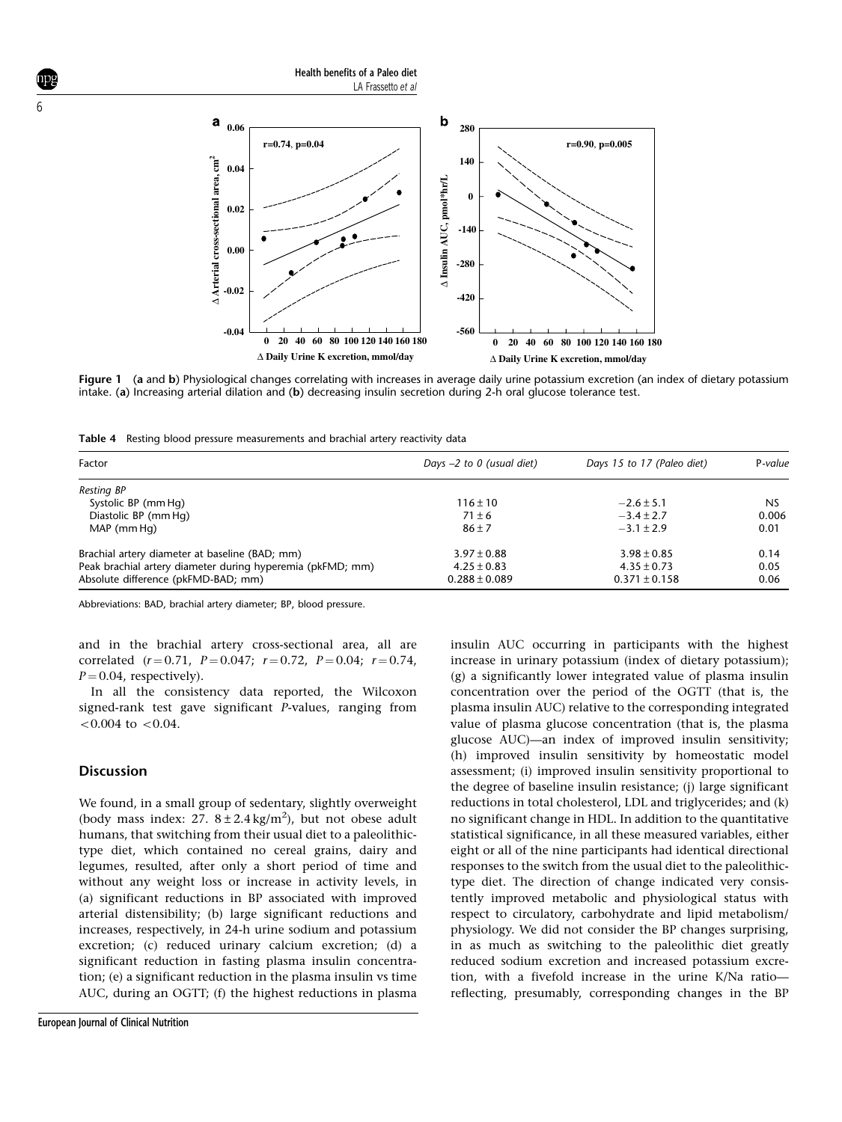b a **0.06 280 r=0.74**, **p=0.04 r=0.90**, **p=0.005**  $\triangle$  Arterial cross-sectional area,  $\text{cm}^2$ **140** ∆ Arterial cross-sectional area, cm<sup>2</sup> **0.04** ∆ Insulin AUC, pmol\*hr/L **Insulin AUC, pmol\*hr/L 0 0.02 -140 0.00 -280 -0.02 -420 -0.04 -560 0 20 40 60 80 100 120 140 160 180 0 20 40 60 80 100 120 140 160 180** ∆ **Daily Urine K excretion, mmol/day** ∆ **Daily Urine K excretion, mmol/day**

Health benefits of a Paleo diet

LA Frassetto et al

Figure 1 (a and b) Physiological changes correlating with increases in average daily urine potassium excretion (an index of dietary potassium intake. (a) Increasing arterial dilation and (b) decreasing insulin secretion during 2-h oral glucose tolerance test.

Table 4 Resting blood pressure measurements and brachial artery reactivity data

| Factor                                                     | Days $-2$ to 0 (usual diet) | Days 15 to 17 (Paleo diet) | P-value   |
|------------------------------------------------------------|-----------------------------|----------------------------|-----------|
| Resting BP                                                 |                             |                            |           |
| Systolic BP (mm Hg)                                        | $116 \pm 10$                | $-2.6 \pm 5.1$             | <b>NS</b> |
| Diastolic BP (mm Hg)                                       | $71 \pm 6$                  | $-3.4 \pm 2.7$             | 0.006     |
| MAP (mm Hg)                                                | $86 \pm 7$                  | $-3.1 \pm 2.9$             | 0.01      |
| Brachial artery diameter at baseline (BAD; mm)             | $3.97 \pm 0.88$             | $3.98 \pm 0.85$            | 0.14      |
| Peak brachial artery diameter during hyperemia (pkFMD; mm) | $4.25 \pm 0.83$             | $4.35 \pm 0.73$            | 0.05      |
| Absolute difference (pkFMD-BAD; mm)                        | $0.288 \pm 0.089$           | $0.371 \pm 0.158$          | 0.06      |

Abbreviations: BAD, brachial artery diameter; BP, blood pressure.

and in the brachial artery cross-sectional area, all are correlated  $(r=0.71, P=0.047; r=0.72, P=0.04; r=0.74,$  $P = 0.04$ , respectively).

In all the consistency data reported, the Wilcoxon signed-rank test gave significant P-values, ranging from  $< 0.004$  to  $< 0.04$ .

## Discussion

We found, in a small group of sedentary, slightly overweight (body mass index: 27.  $8 \pm 2.4 \text{ kg/m}^2$ ), but not obese adult humans, that switching from their usual diet to a paleolithictype diet, which contained no cereal grains, dairy and legumes, resulted, after only a short period of time and without any weight loss or increase in activity levels, in (a) significant reductions in BP associated with improved arterial distensibility; (b) large significant reductions and increases, respectively, in 24-h urine sodium and potassium excretion; (c) reduced urinary calcium excretion; (d) a significant reduction in fasting plasma insulin concentration; (e) a significant reduction in the plasma insulin vs time AUC, during an OGTT; (f) the highest reductions in plasma insulin AUC occurring in participants with the highest increase in urinary potassium (index of dietary potassium); (g) a significantly lower integrated value of plasma insulin concentration over the period of the OGTT (that is, the plasma insulin AUC) relative to the corresponding integrated value of plasma glucose concentration (that is, the plasma glucose AUC)—an index of improved insulin sensitivity; (h) improved insulin sensitivity by homeostatic model assessment; (i) improved insulin sensitivity proportional to the degree of baseline insulin resistance; (j) large significant reductions in total cholesterol, LDL and triglycerides; and (k) no significant change in HDL. In addition to the quantitative statistical significance, in all these measured variables, either eight or all of the nine participants had identical directional responses to the switch from the usual diet to the paleolithictype diet. The direction of change indicated very consistently improved metabolic and physiological status with respect to circulatory, carbohydrate and lipid metabolism/ physiology. We did not consider the BP changes surprising, in as much as switching to the paleolithic diet greatly reduced sodium excretion and increased potassium excretion, with a fivefold increase in the urine K/Na ratio reflecting, presumably, corresponding changes in the BP

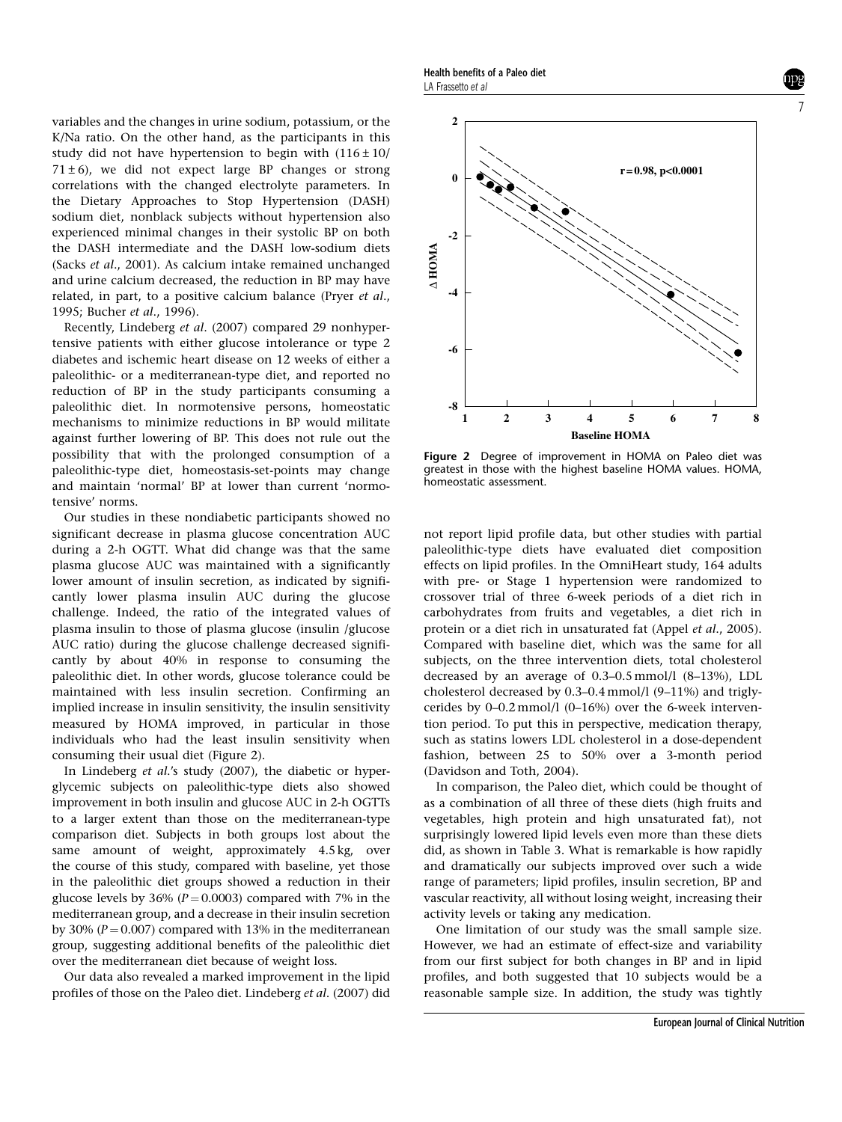variables and the changes in urine sodium, potassium, or the K/Na ratio. On the other hand, as the participants in this study did not have hypertension to begin with  $(116 \pm 10)$  $71 \pm 6$ ), we did not expect large BP changes or strong correlations with the changed electrolyte parameters. In the Dietary Approaches to Stop Hypertension (DASH) sodium diet, nonblack subjects without hypertension also experienced minimal changes in their systolic BP on both the DASH intermediate and the DASH low-sodium diets (Sacks et al., 2001). As calcium intake remained unchanged and urine calcium decreased, the reduction in BP may have related, in part, to a positive calcium balance (Pryer et al., 1995; Bucher et al., 1996).

Recently, Lindeberg et al. (2007) compared 29 nonhypertensive patients with either glucose intolerance or type 2 diabetes and ischemic heart disease on 12 weeks of either a paleolithic- or a mediterranean-type diet, and reported no reduction of BP in the study participants consuming a paleolithic diet. In normotensive persons, homeostatic mechanisms to minimize reductions in BP would militate against further lowering of BP. This does not rule out the possibility that with the prolonged consumption of a paleolithic-type diet, homeostasis-set-points may change and maintain 'normal' BP at lower than current 'normotensive' norms.

Our studies in these nondiabetic participants showed no significant decrease in plasma glucose concentration AUC during a 2-h OGTT. What did change was that the same plasma glucose AUC was maintained with a significantly lower amount of insulin secretion, as indicated by significantly lower plasma insulin AUC during the glucose challenge. Indeed, the ratio of the integrated values of plasma insulin to those of plasma glucose (insulin /glucose AUC ratio) during the glucose challenge decreased significantly by about 40% in response to consuming the paleolithic diet. In other words, glucose tolerance could be maintained with less insulin secretion. Confirming an implied increase in insulin sensitivity, the insulin sensitivity measured by HOMA improved, in particular in those individuals who had the least insulin sensitivity when consuming their usual diet (Figure 2).

In Lindeberg et al.'s study (2007), the diabetic or hyperglycemic subjects on paleolithic-type diets also showed improvement in both insulin and glucose AUC in 2-h OGTTs to a larger extent than those on the mediterranean-type comparison diet. Subjects in both groups lost about the same amount of weight, approximately 4.5 kg, over the course of this study, compared with baseline, yet those in the paleolithic diet groups showed a reduction in their glucose levels by 36% ( $P = 0.0003$ ) compared with 7% in the mediterranean group, and a decrease in their insulin secretion by 30% ( $P = 0.007$ ) compared with 13% in the mediterranean group, suggesting additional benefits of the paleolithic diet over the mediterranean diet because of weight loss.

Our data also revealed a marked improvement in the lipid profiles of those on the Paleo diet. Lindeberg et al. (2007) did

Health benefits of a Paleo diet LA Frassetto et al





Figure 2 Degree of improvement in HOMA on Paleo diet was greatest in those with the highest baseline HOMA values. HOMA, homeostatic assessment.

not report lipid profile data, but other studies with partial paleolithic-type diets have evaluated diet composition effects on lipid profiles. In the OmniHeart study, 164 adults with pre- or Stage 1 hypertension were randomized to crossover trial of three 6-week periods of a diet rich in carbohydrates from fruits and vegetables, a diet rich in protein or a diet rich in unsaturated fat (Appel et al., 2005). Compared with baseline diet, which was the same for all subjects, on the three intervention diets, total cholesterol decreased by an average of 0.3–0.5 mmol/l (8–13%), LDL cholesterol decreased by 0.3–0.4 mmol/l (9–11%) and triglycerides by 0–0.2 mmol/l (0–16%) over the 6-week intervention period. To put this in perspective, medication therapy, such as statins lowers LDL cholesterol in a dose-dependent fashion, between 25 to 50% over a 3-month period (Davidson and Toth, 2004).

In comparison, the Paleo diet, which could be thought of as a combination of all three of these diets (high fruits and vegetables, high protein and high unsaturated fat), not surprisingly lowered lipid levels even more than these diets did, as shown in Table 3. What is remarkable is how rapidly and dramatically our subjects improved over such a wide range of parameters; lipid profiles, insulin secretion, BP and vascular reactivity, all without losing weight, increasing their activity levels or taking any medication.

One limitation of our study was the small sample size. However, we had an estimate of effect-size and variability from our first subject for both changes in BP and in lipid profiles, and both suggested that 10 subjects would be a reasonable sample size. In addition, the study was tightly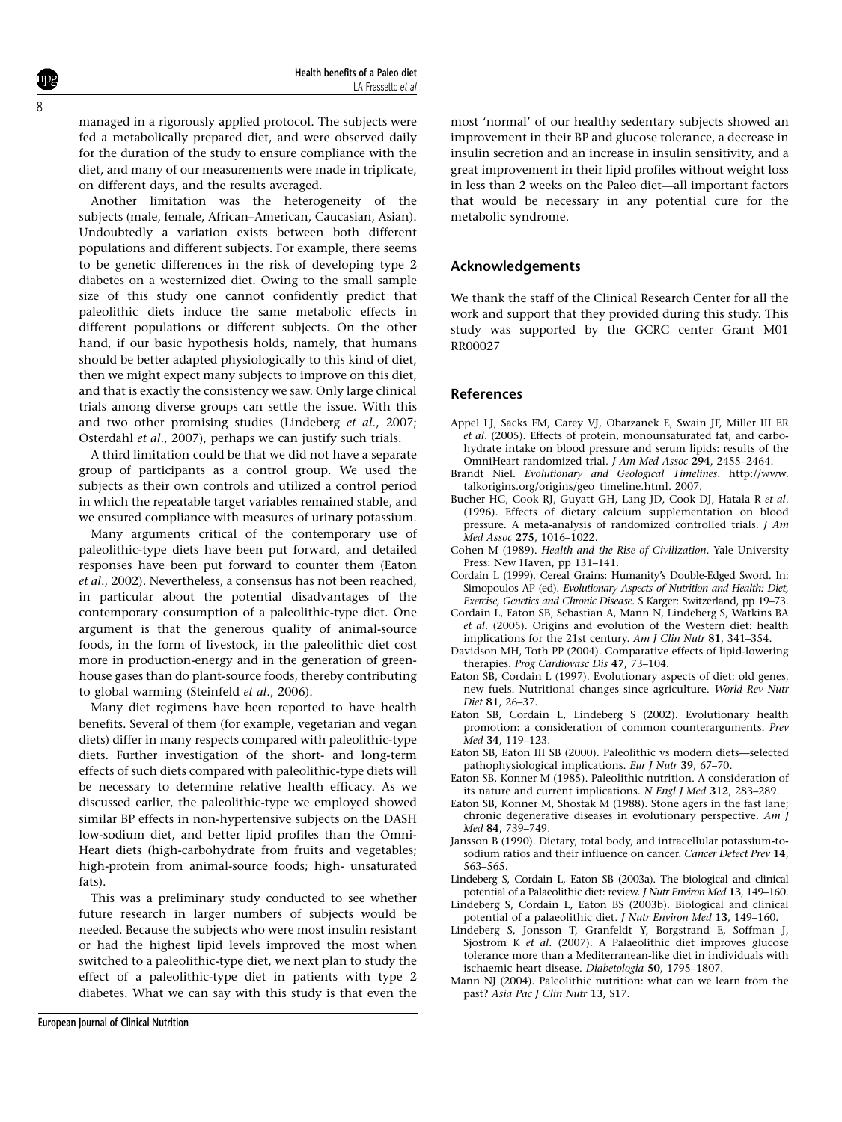managed in a rigorously applied protocol. The subjects were fed a metabolically prepared diet, and were observed daily for the duration of the study to ensure compliance with the diet, and many of our measurements were made in triplicate, on different days, and the results averaged.

Another limitation was the heterogeneity of the subjects (male, female, African–American, Caucasian, Asian). Undoubtedly a variation exists between both different populations and different subjects. For example, there seems to be genetic differences in the risk of developing type 2 diabetes on a westernized diet. Owing to the small sample size of this study one cannot confidently predict that paleolithic diets induce the same metabolic effects in different populations or different subjects. On the other hand, if our basic hypothesis holds, namely, that humans should be better adapted physiologically to this kind of diet, then we might expect many subjects to improve on this diet, and that is exactly the consistency we saw. Only large clinical trials among diverse groups can settle the issue. With this and two other promising studies (Lindeberg et al., 2007; Osterdahl et al., 2007), perhaps we can justify such trials.

A third limitation could be that we did not have a separate group of participants as a control group. We used the subjects as their own controls and utilized a control period in which the repeatable target variables remained stable, and we ensured compliance with measures of urinary potassium.

Many arguments critical of the contemporary use of paleolithic-type diets have been put forward, and detailed responses have been put forward to counter them (Eaton et al., 2002). Nevertheless, a consensus has not been reached, in particular about the potential disadvantages of the contemporary consumption of a paleolithic-type diet. One argument is that the generous quality of animal-source foods, in the form of livestock, in the paleolithic diet cost more in production-energy and in the generation of greenhouse gases than do plant-source foods, thereby contributing to global warming (Steinfeld et al., 2006).

Many diet regimens have been reported to have health benefits. Several of them (for example, vegetarian and vegan diets) differ in many respects compared with paleolithic-type diets. Further investigation of the short- and long-term effects of such diets compared with paleolithic-type diets will be necessary to determine relative health efficacy. As we discussed earlier, the paleolithic-type we employed showed similar BP effects in non-hypertensive subjects on the DASH low-sodium diet, and better lipid profiles than the Omni-Heart diets (high-carbohydrate from fruits and vegetables; high-protein from animal-source foods; high- unsaturated fats).

This was a preliminary study conducted to see whether future research in larger numbers of subjects would be needed. Because the subjects who were most insulin resistant or had the highest lipid levels improved the most when switched to a paleolithic-type diet, we next plan to study the effect of a paleolithic-type diet in patients with type 2 diabetes. What we can say with this study is that even the most 'normal' of our healthy sedentary subjects showed an improvement in their BP and glucose tolerance, a decrease in insulin secretion and an increase in insulin sensitivity, and a great improvement in their lipid profiles without weight loss in less than 2 weeks on the Paleo diet—all important factors that would be necessary in any potential cure for the metabolic syndrome.

### Acknowledgements

We thank the staff of the Clinical Research Center for all the work and support that they provided during this study. This study was supported by the GCRC center Grant M01 RR00027

## References

- Appel LJ, Sacks FM, Carey VJ, Obarzanek E, Swain JF, Miller III ER et al. (2005). Effects of protein, monounsaturated fat, and carbohydrate intake on blood pressure and serum lipids: results of the OmniHeart randomized trial. J Am Med Assoc 294, 2455–2464.
- Brandt Niel. Evolutionary and Geological Timelines. http://www. talkorigins.org/origins/geo\_timeline.html. 2007.
- Bucher HC, Cook RJ, Guyatt GH, Lang JD, Cook DJ, Hatala R et al. (1996). Effects of dietary calcium supplementation on blood pressure. A meta-analysis of randomized controlled trials. J Am Med Assoc 275, 1016–1022.
- Cohen M (1989). Health and the Rise of Civilization. Yale University Press: New Haven, pp 131–141.
- Cordain L (1999). Cereal Grains: Humanity's Double-Edged Sword. In: Simopoulos AP (ed). Evolutionary Aspects of Nutrition and Health: Diet, Exercise, Genetics and Chronic Disease. S Karger: Switzerland, pp 19–73.
- Cordain L, Eaton SB, Sebastian A, Mann N, Lindeberg S, Watkins BA et al. (2005). Origins and evolution of the Western diet: health implications for the 21st century. Am J Clin Nutr 81, 341-354.
- Davidson MH, Toth PP (2004). Comparative effects of lipid-lowering therapies. Prog Cardiovasc Dis 47, 73–104.
- Eaton SB, Cordain L (1997). Evolutionary aspects of diet: old genes, new fuels. Nutritional changes since agriculture. World Rev Nutr Diet 81, 26–37.
- Eaton SB, Cordain L, Lindeberg S (2002). Evolutionary health promotion: a consideration of common counterarguments. Prev Med 34, 119–123.
- Eaton SB, Eaton III SB (2000). Paleolithic vs modern diets—selected pathophysiological implications. Eur J Nutr 39, 67–70.
- Eaton SB, Konner M (1985). Paleolithic nutrition. A consideration of its nature and current implications. N Engl J Med 312, 283–289.
- Eaton SB, Konner M, Shostak M (1988). Stone agers in the fast lane; chronic degenerative diseases in evolutionary perspective. Am J Med 84, 739–749.
- Jansson B (1990). Dietary, total body, and intracellular potassium-tosodium ratios and their influence on cancer. Cancer Detect Prev 14, 563–565.
- Lindeberg S, Cordain L, Eaton SB (2003a). The biological and clinical potential of a Palaeolithic diet: review. J Nutr Environ Med 13, 149–160.
- Lindeberg S, Cordain L, Eaton BS (2003b). Biological and clinical potential of a palaeolithic diet. J Nutr Environ Med 13, 149–160.
- Lindeberg S, Jonsson T, Granfeldt Y, Borgstrand E, Soffman J, Sjostrom K et al. (2007). A Palaeolithic diet improves glucose tolerance more than a Mediterranean-like diet in individuals with ischaemic heart disease. Diabetologia 50, 1795–1807.
- Mann NJ (2004). Paleolithic nutrition: what can we learn from the past? Asia Pac J Clin Nutr 13, S17.